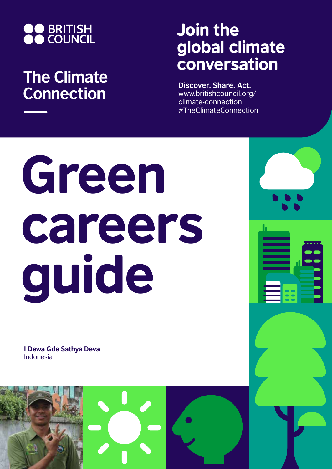

## **The Climate Connection**

## Join the global climate conversation

**Discover. Share. Act.** www.britishcouncil.org/ climate-connection #TheClimateConnection

# Green careers guide

**I Dewa Gde Sathya Deva** Indonesia

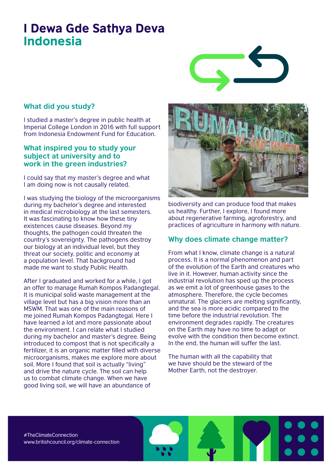### I Dewa Gde Sathya Deva Indonesia



#### **What did you study?**

I studied a master's degree in public health at Imperial College London in 2016 with full support from Indonesia Endowment Fund for Education.

#### **What inspired you to study your subject at university and to work in the green industries?**

I could say that my master's degree and what I am doing now is not causally related.

I was studying the biology of the microorganisms during my bachelor's degree and interested in medical microbiology at the last semesters. It was fascinating to know how these tiny existences cause diseases. Beyond my thoughts, the pathogen could threaten the country's sovereignty. The pathogens destroy our biology at an individual level, but they threat our society, politic and economy at a population level. That background had made me want to study Public Health.

After I graduated and worked for a while, I got an offer to manage Rumah Kompos Padangtegal. It is municipal solid waste management at the village level but has a big vision more than an MSWM. That was one of the main reasons of me joined Rumah Kompos Padangtegal. Here I have learned a lot and more passionate about the environment. I can relate what I studied during my bachelor and master's degree. Being introduced to compost that is not specifically a fertilizer, it is an organic matter filled with diverse microorganisms, makes me explore more about soil. More I found that soil is actually "living" and drive the nature cycle. The soil can help us to combat climate change. When we have good living soil, we will have an abundance of



biodiversity and can produce food that makes us healthy. Further, I explore, I found more about regenerative farming, agroforestry, and practices of agriculture in harmony with nature.

#### **Why does climate change matter?**

From what I know, climate change is a natural process. It is a normal phenomenon and part of the evolution of the Earth and creatures who live in it. However, human activity since the industrial revolution has sped up the process as we emit a lot of greenhouse gases to the atmosphere. Therefore, the cycle becomes unnatural. The glaciers are melting significantly, and the sea is more acidic compared to the time before the industrial revolution. The environment degrades rapidly. The creatures on the Earth may have no time to adapt or evolve with the condition then become extinct. In the end, the human will suffer the last.

The human with all the capability that we have should be the steward of the Mother Earth, not the destroyer.

#TheClimateConnection www.britishcouncil.org/climate-connection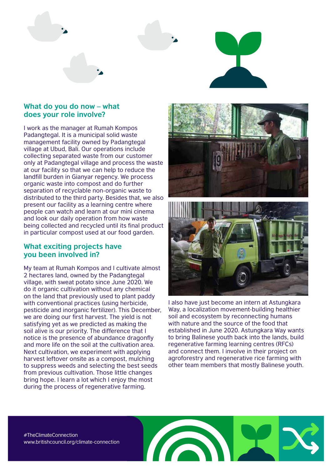

#### **What do you do now – what does your role involve?**

I work as the manager at Rumah Kompos Padangtegal. It is a municipal solid waste management facility owned by Padangtegal village at Ubud, Bali. Our operations include collecting separated waste from our customer only at Padangtegal village and process the waste at our facility so that we can help to reduce the landfill burden in Gianyar regency. We process organic waste into compost and do further separation of recyclable non-organic waste to distributed to the third party. Besides that, we also present our facility as a learning centre where people can watch and learn at our mini cinema and look our daily operation from how waste being collected and recycled until its final product in particular compost used at our food garden.

#### **What exciting projects have you been involved in?**

My team at Rumah Kompos and I cultivate almost 2 hectares land, owned by the Padangtegal village, with sweat potato since June 2020. We do it organic cultivation without any chemical on the land that previously used to plant paddy with conventional practices (using herbicide, pesticide and inorganic fertilizer). This December, we are doing our first harvest. The yield is not satisfying yet as we predicted as making the soil alive is our priority. The difference that I notice is the presence of abundance dragonfly and more life on the soil at the cultivation area. Next cultivation, we experiment with applying harvest leftover onsite as a compost, mulching to suppress weeds and selecting the best seeds from previous cultivation. Those little changes bring hope. I learn a lot which I enjoy the most during the process of regenerative farming.





I also have just become an intern at Astungkara Way, a localization movement-building healthier soil and ecosystem by reconnecting humans with nature and the source of the food that established in June 2020. Astungkara Way wants to bring Balinese youth back into the lands, build regenerative farming learning centres (RFCs) and connect them. I involve in their project on agroforestry and regenerative rice farming with other team members that mostly Balinese youth.

#TheClimateConnection www.britishcouncil.org/climate-connection